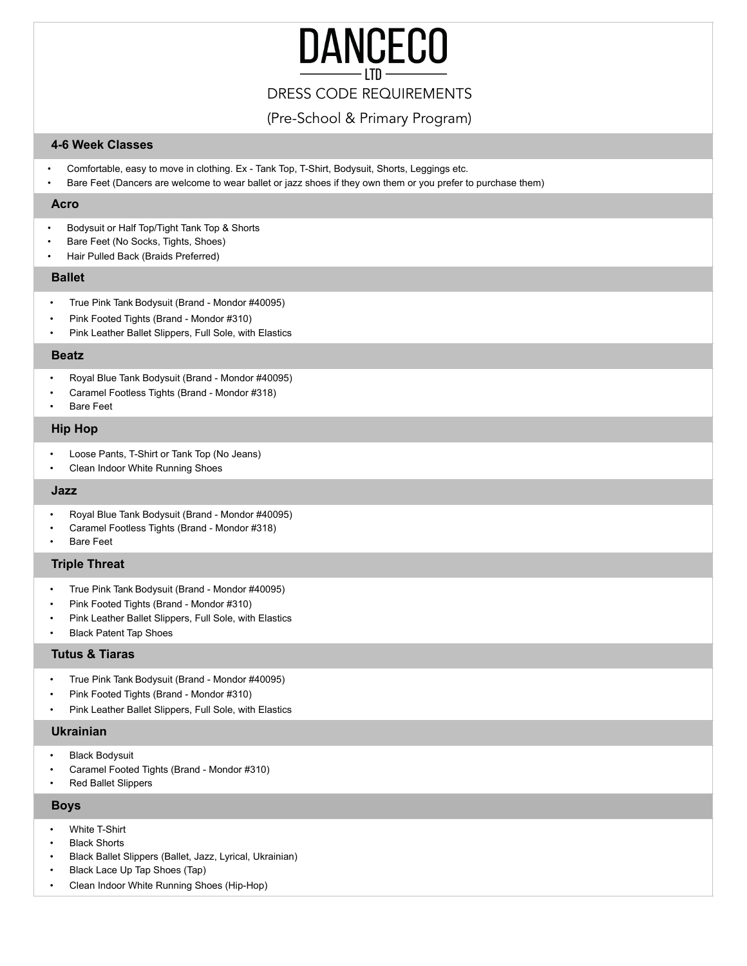# **DANCECO**

# DRESS CODE REQUIREMENTS

(Pre-School & Primary Program)

## **4-6 Week Classes**

- Comfortable, easy to move in clothing. Ex Tank Top, T-Shirt, Bodysuit, Shorts, Leggings etc.
- Bare Feet (Dancers are welcome to wear ballet or jazz shoes if they own them or you prefer to purchase them)

#### **Acro**

- Bodysuit or Half Top/Tight Tank Top & Shorts
- Bare Feet (No Socks, Tights, Shoes)
- Hair Pulled Back (Braids Preferred)

#### **Ballet**

- True Pink Tank Bodysuit (Brand Mondor #40095)
- Pink Footed Tights (Brand Mondor #310)
- Pink Leather Ballet Slippers, Full Sole, with Elastics

#### **Beatz**

- Royal Blue Tank Bodysuit (Brand Mondor #40095)
- Caramel Footless Tights (Brand Mondor #318)
- **Bare Feet**

#### **Hip Hop**

- Loose Pants, T-Shirt or Tank Top (No Jeans)
- Clean Indoor White Running Shoes

#### **Jazz**

- Royal Blue Tank Bodysuit (Brand Mondor #40095)
- Caramel Footless Tights (Brand Mondor #318)
- **Bare Feet**

#### **Triple Threat**

- True Pink Tank Bodysuit (Brand Mondor #40095)
- Pink Footed Tights (Brand Mondor #310)
- Pink Leather Ballet Slippers, Full Sole, with Elastics
- Black Patent Tap Shoes

#### **Tutus & Tiaras**

- True Pink Tank Bodysuit (Brand Mondor #40095)
- Pink Footed Tights (Brand Mondor #310)
- Pink Leather Ballet Slippers, Full Sole, with Elastics

#### **Ukrainian**

- Black Bodysuit
- Caramel Footed Tights (Brand Mondor #310)
- Red Ballet Slippers

#### **Boys**

- White T-Shirt
- **Black Shorts**
- Black Ballet Slippers (Ballet, Jazz, Lyrical, Ukrainian)
- Black Lace Up Tap Shoes (Tap)
- Clean Indoor White Running Shoes (Hip-Hop)